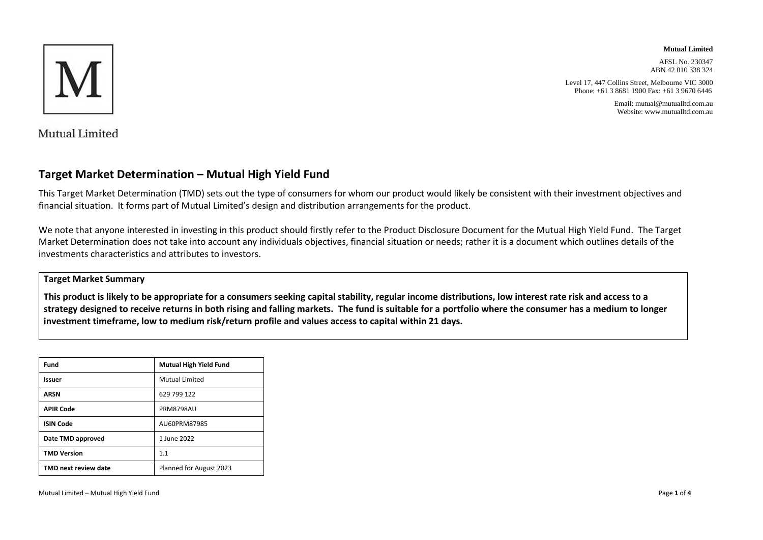

#### **Mutual Limited**

AFSL No. 230347 ABN 42 010 338 324

Level 17, 447 Collins Street, Melbourne VIC 3000 Phone: +61 3 8681 1900 Fax: +61 3 9670 6446

> Email: mutual@mutualltd.com.au Website: www.mutualltd.com.au

Mutual Limited

### **Target Market Determination – Mutual High Yield Fund**

This Target Market Determination (TMD) sets out the type of consumers for whom our product would likely be consistent with their investment objectives and financial situation. It forms part of Mutual Limited's design and distribution arrangements for the product.

We note that anyone interested in investing in this product should firstly refer to the Product Disclosure Document for the Mutual High Yield Fund. The Target Market Determination does not take into account any individuals objectives, financial situation or needs; rather it is a document which outlines details of the investments characteristics and attributes to investors.

#### **Target Market Summary**

**This product is likely to be appropriate for a consumers seeking capital stability, regular income distributions, low interest rate risk and access to a strategy designed to receive returns in both rising and falling markets. The fund is suitable for a portfolio where the consumer has a medium to longer investment timeframe, low to medium risk/return profile and values access to capital within 21 days.**

| Fund                 | <b>Mutual High Yield Fund</b> |  |
|----------------------|-------------------------------|--|
| Issuer               | Mutual Limited                |  |
| ARSN                 | 629 799 122                   |  |
| <b>APIR Code</b>     | <b>PRM8798AU</b>              |  |
| <b>ISIN Code</b>     | AU60PRM87985                  |  |
| Date TMD approved    | 1 June 2022                   |  |
| <b>TMD Version</b>   | 1.1                           |  |
| TMD next review date | Planned for August 2023       |  |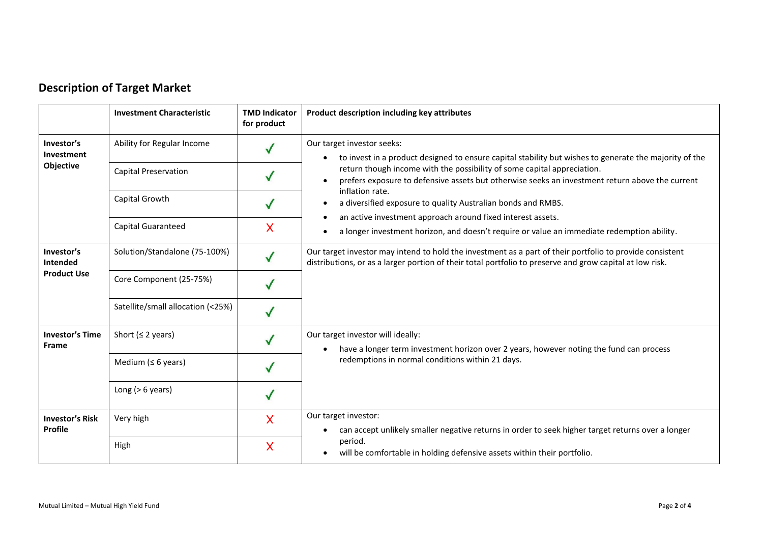|  | <b>Description of Target Market</b> |
|--|-------------------------------------|
|--|-------------------------------------|

|                                              | <b>Investment Characteristic</b>  | <b>TMD Indicator</b><br>for product | Product description including key attributes                                                                                                                                                                         |
|----------------------------------------------|-----------------------------------|-------------------------------------|----------------------------------------------------------------------------------------------------------------------------------------------------------------------------------------------------------------------|
| Investor's<br>Investment<br>Objective        | Ability for Regular Income        |                                     | Our target investor seeks:<br>to invest in a product designed to ensure capital stability but wishes to generate the majority of the<br>$\bullet$                                                                    |
|                                              | <b>Capital Preservation</b>       |                                     | return though income with the possibility of some capital appreciation.<br>prefers exposure to defensive assets but otherwise seeks an investment return above the current                                           |
|                                              | Capital Growth                    |                                     | inflation rate.<br>a diversified exposure to quality Australian bonds and RMBS.<br>$\bullet$                                                                                                                         |
|                                              | <b>Capital Guaranteed</b>         | X                                   | an active investment approach around fixed interest assets.<br>$\bullet$<br>a longer investment horizon, and doesn't require or value an immediate redemption ability.<br>$\bullet$                                  |
| Investor's<br>Intended<br><b>Product Use</b> | Solution/Standalone (75-100%)     |                                     | Our target investor may intend to hold the investment as a part of their portfolio to provide consistent<br>distributions, or as a larger portion of their total portfolio to preserve and grow capital at low risk. |
|                                              | Core Component (25-75%)           |                                     |                                                                                                                                                                                                                      |
|                                              | Satellite/small allocation (<25%) |                                     |                                                                                                                                                                                                                      |
| <b>Investor's Time</b><br><b>Frame</b>       | Short ( $\leq$ 2 years)           |                                     | Our target investor will ideally:<br>have a longer term investment horizon over 2 years, however noting the fund can process<br>$\bullet$                                                                            |
|                                              | Medium ( $\leq 6$ years)          |                                     | redemptions in normal conditions within 21 days.                                                                                                                                                                     |
|                                              | Long ( $> 6$ years)               |                                     |                                                                                                                                                                                                                      |
| <b>Investor's Risk</b><br>Profile            | Very high                         | X                                   | Our target investor:<br>can accept unlikely smaller negative returns in order to seek higher target returns over a longer                                                                                            |
|                                              | High                              | X                                   | period.<br>will be comfortable in holding defensive assets within their portfolio.                                                                                                                                   |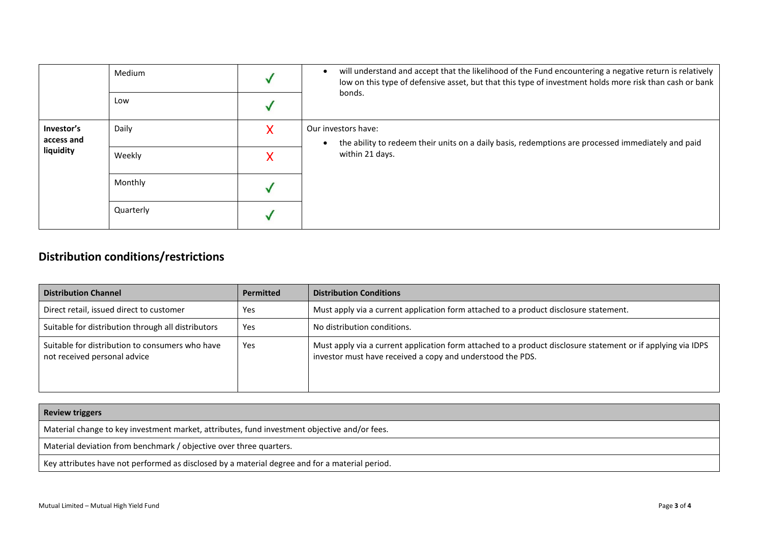|                                       | Medium    |   | will understand and accept that the likelihood of the Fund encountering a negative return is relatively<br>$\bullet$<br>low on this type of defensive asset, but that this type of investment holds more risk than cash or bank |
|---------------------------------------|-----------|---|---------------------------------------------------------------------------------------------------------------------------------------------------------------------------------------------------------------------------------|
|                                       | Low       |   | bonds.                                                                                                                                                                                                                          |
| Investor's<br>access and<br>liquidity | Daily     | х | Our investors have:<br>the ability to redeem their units on a daily basis, redemptions are processed immediately and paid<br>$\bullet$                                                                                          |
|                                       | Weekly    |   | within 21 days.                                                                                                                                                                                                                 |
|                                       | Monthly   |   |                                                                                                                                                                                                                                 |
|                                       | Quarterly |   |                                                                                                                                                                                                                                 |

# **Distribution conditions/restrictions**

| <b>Distribution Channel</b>                                                     | <b>Permitted</b> | <b>Distribution Conditions</b>                                                                                                                                             |
|---------------------------------------------------------------------------------|------------------|----------------------------------------------------------------------------------------------------------------------------------------------------------------------------|
| Direct retail, issued direct to customer                                        | Yes              | Must apply via a current application form attached to a product disclosure statement.                                                                                      |
| Suitable for distribution through all distributors                              | Yes              | No distribution conditions.                                                                                                                                                |
| Suitable for distribution to consumers who have<br>not received personal advice | Yes              | Must apply via a current application form attached to a product disclosure statement or if applying via IDPS<br>investor must have received a copy and understood the PDS. |

| <b>Review triggers</b>                                                                         |
|------------------------------------------------------------------------------------------------|
| Material change to key investment market, attributes, fund investment objective and/or fees.   |
| Material deviation from benchmark / objective over three quarters.                             |
| Key attributes have not performed as disclosed by a material degree and for a material period. |